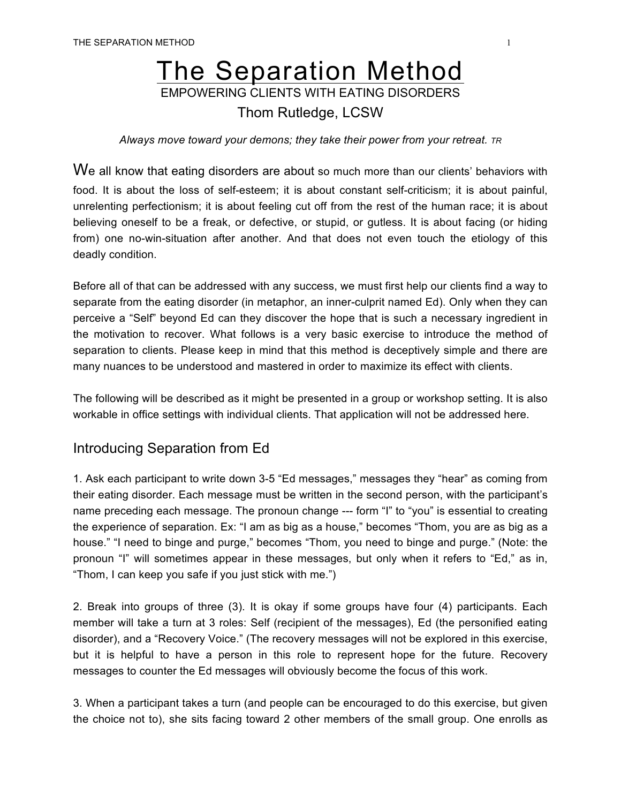## The Separation Method EMPOWERING CLIENTS WITH EATING DISORDERS

## Thom Rutledge, LCSW

*Always move toward your demons; they take their power from your retreat. TR*

We all know that eating disorders are about so much more than our clients' behaviors with food. It is about the loss of self-esteem; it is about constant self-criticism; it is about painful, unrelenting perfectionism; it is about feeling cut off from the rest of the human race; it is about believing oneself to be a freak, or defective, or stupid, or gutless. It is about facing (or hiding from) one no-win-situation after another. And that does not even touch the etiology of this deadly condition.

Before all of that can be addressed with any success, we must first help our clients find a way to separate from the eating disorder (in metaphor, an inner-culprit named Ed). Only when they can perceive a "Self" beyond Ed can they discover the hope that is such a necessary ingredient in the motivation to recover. What follows is a very basic exercise to introduce the method of separation to clients. Please keep in mind that this method is deceptively simple and there are many nuances to be understood and mastered in order to maximize its effect with clients.

The following will be described as it might be presented in a group or workshop setting. It is also workable in office settings with individual clients. That application will not be addressed here.

## Introducing Separation from Ed

1. Ask each participant to write down 3-5 "Ed messages," messages they "hear" as coming from their eating disorder. Each message must be written in the second person, with the participant's name preceding each message. The pronoun change --- form "I" to "you" is essential to creating the experience of separation. Ex: "I am as big as a house," becomes "Thom, you are as big as a house." "I need to binge and purge," becomes "Thom, you need to binge and purge." (Note: the pronoun "I" will sometimes appear in these messages, but only when it refers to "Ed," as in, "Thom, I can keep you safe if you just stick with me.")

2. Break into groups of three (3). It is okay if some groups have four (4) participants. Each member will take a turn at 3 roles: Self (recipient of the messages), Ed (the personified eating disorder), and a "Recovery Voice." (The recovery messages will not be explored in this exercise, but it is helpful to have a person in this role to represent hope for the future. Recovery messages to counter the Ed messages will obviously become the focus of this work.

3. When a participant takes a turn (and people can be encouraged to do this exercise, but given the choice not to), she sits facing toward 2 other members of the small group. One enrolls as